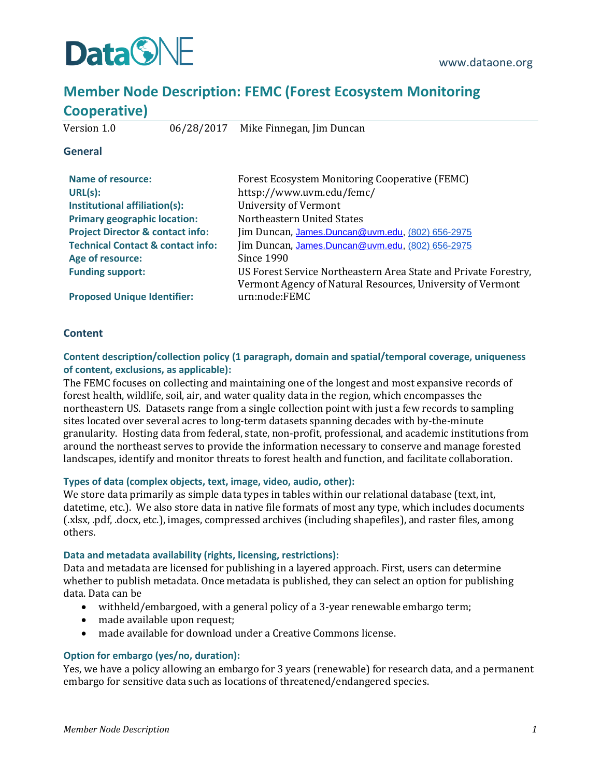

# **Member Node Description: FEMC (Forest Ecosystem Monitoring Cooperative)**

Version 1.0 06/28/2017 Mike Finnegan, Jim Duncan

## **General**

| <b>Name of resource:</b>                     | Forest Ecosystem Monitoring Cooperative (FEMC)                  |
|----------------------------------------------|-----------------------------------------------------------------|
| URL(s):                                      | httsp://www.uvm.edu/femc/                                       |
| Institutional affiliation(s):                | <b>University of Vermont</b>                                    |
| <b>Primary geographic location:</b>          | Northeastern United States                                      |
| <b>Project Director &amp; contact info:</b>  | Jim Duncan, James.Duncan@uvm.edu, (802) 656-2975                |
| <b>Technical Contact &amp; contact info:</b> | Jim Duncan, James.Duncan@uvm.edu, (802) 656-2975                |
| Age of resource:                             | Since 1990                                                      |
| <b>Funding support:</b>                      | US Forest Service Northeastern Area State and Private Forestry, |
|                                              | Vermont Agency of Natural Resources, University of Vermont      |
| <b>Proposed Unique Identifier:</b>           | urn:node:FEMC                                                   |

## **Content**

**Content description/collection policy (1 paragraph, domain and spatial/temporal coverage, uniqueness of content, exclusions, as applicable):** 

The FEMC focuses on collecting and maintaining one of the longest and most expansive records of forest health, wildlife, soil, air, and water quality data in the region, which encompasses the northeastern US. Datasets range from a single collection point with just a few records to sampling sites located over several acres to long-term datasets spanning decades with by-the-minute granularity. Hosting data from federal, state, non-profit, professional, and academic institutions from around the northeast serves to provide the information necessary to conserve and manage forested landscapes, identify and monitor threats to forest health and function, and facilitate collaboration.

#### **Types of data (complex objects, text, image, video, audio, other):**

We store data primarily as simple data types in tables within our relational database (text, int, datetime, etc.). We also store data in native file formats of most any type, which includes documents (.xlsx, .pdf, .docx, etc.), images, compressed archives (including shapefiles), and raster files, among others.

#### **Data and metadata availability (rights, licensing, restrictions):**

Data and metadata are licensed for publishing in a layered approach. First, users can determine whether to publish metadata. Once metadata is published, they can select an option for publishing data. Data can be

- withheld/embargoed, with a general policy of a 3-year renewable embargo term;
- made available upon request;
- made available for download under a Creative Commons license.

## **Option for embargo (yes/no, duration):**

Yes, we have a policy allowing an embargo for 3 years (renewable) for research data, and a permanent embargo for sensitive data such as locations of threatened/endangered species.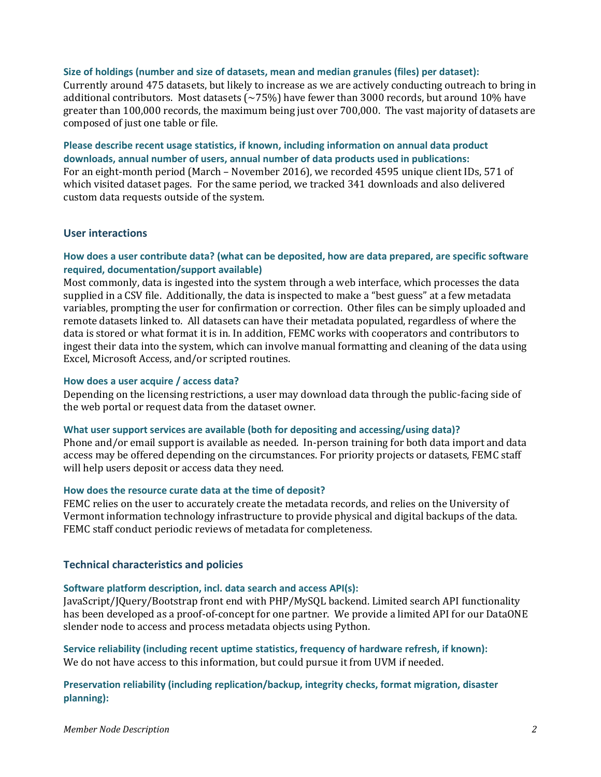#### **Size of holdings (number and size of datasets, mean and median granules (files) per dataset):**

Currently around 475 datasets, but likely to increase as we are actively conducting outreach to bring in additional contributors. Most datasets  $\left(\sim 75\% \right)$  have fewer than 3000 records, but around 10% have greater than 100,000 records, the maximum being just over 700,000. The vast majority of datasets are composed of just one table or file.

**Please describe recent usage statistics, if known, including information on annual data product downloads, annual number of users, annual number of data products used in publications:**  For an eight-month period (March – November 2016), we recorded 4595 unique client IDs, 571 of which visited dataset pages. For the same period, we tracked 341 downloads and also delivered custom data requests outside of the system.

## **User interactions**

## **How does a user contribute data? (what can be deposited, how are data prepared, are specific software required, documentation/support available)**

Most commonly, data is ingested into the system through a web interface, which processes the data supplied in a CSV file. Additionally, the data is inspected to make a "best guess" at a few metadata variables, prompting the user for confirmation or correction. Other files can be simply uploaded and remote datasets linked to. All datasets can have their metadata populated, regardless of where the data is stored or what format it is in. In addition, FEMC works with cooperators and contributors to ingest their data into the system, which can involve manual formatting and cleaning of the data using Excel, Microsoft Access, and/or scripted routines.

#### **How does a user acquire / access data?**

Depending on the licensing restrictions, a user may download data through the public-facing side of the web portal or request data from the dataset owner.

#### **What user support services are available (both for depositing and accessing/using data)?**

Phone and/or email support is available as needed. In-person training for both data import and data access may be offered depending on the circumstances. For priority projects or datasets, FEMC staff will help users deposit or access data they need.

## **How does the resource curate data at the time of deposit?**

FEMC relies on the user to accurately create the metadata records, and relies on the University of Vermont information technology infrastructure to provide physical and digital backups of the data. FEMC staff conduct periodic reviews of metadata for completeness.

#### **Technical characteristics and policies**

#### **Software platform description, incl. data search and access API(s):**

JavaScript/JQuery/Bootstrap front end with PHP/MySQL backend. Limited search API functionality has been developed as a proof-of-concept for one partner. We provide a limited API for our DataONE slender node to access and process metadata objects using Python.

**Service reliability (including recent uptime statistics, frequency of hardware refresh, if known):**  We do not have access to this information, but could pursue it from UVM if needed.

**Preservation reliability (including replication/backup, integrity checks, format migration, disaster planning):**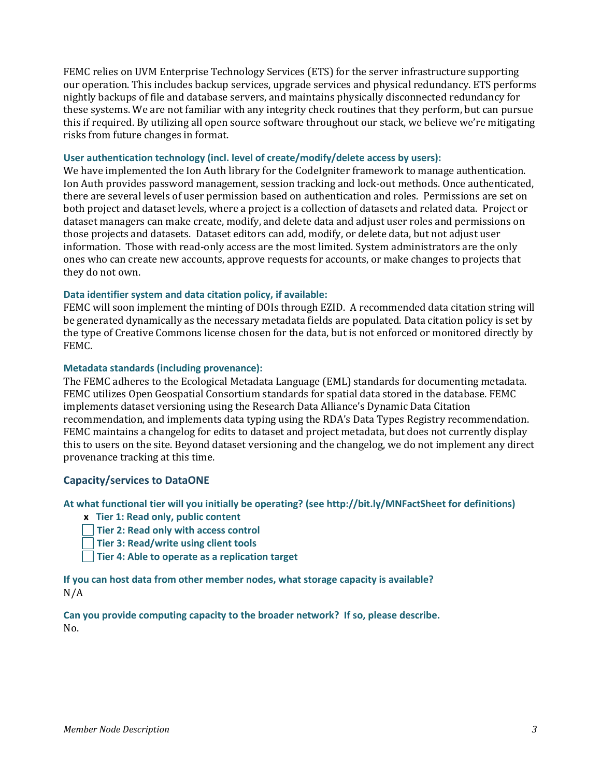FEMC relies on UVM Enterprise Technology Services (ETS) for the server infrastructure supporting our operation. This includes backup services, upgrade services and physical redundancy. ETS performs nightly backups of file and database servers, and maintains physically disconnected redundancy for these systems. We are not familiar with any integrity check routines that they perform, but can pursue this if required. By utilizing all open source software throughout our stack, we believe we're mitigating risks from future changes in format.

## **User authentication technology (incl. level of create/modify/delete access by users):**

We have implemented the Ion Auth library for the CodeIgniter framework to manage authentication. Ion Auth provides password management, session tracking and lock-out methods. Once authenticated, there are several levels of user permission based on authentication and roles. Permissions are set on both project and dataset levels, where a project is a collection of datasets and related data. Project or dataset managers can make create, modify, and delete data and adjust user roles and permissions on those projects and datasets. Dataset editors can add, modify, or delete data, but not adjust user information. Those with read-only access are the most limited. System administrators are the only ones who can create new accounts, approve requests for accounts, or make changes to projects that they do not own.

## **Data identifier system and data citation policy, if available:**

FEMC will soon implement the minting of DOIs through EZID. A recommended data citation string will be generated dynamically as the necessary metadata fields are populated. Data citation policy is set by the type of Creative Commons license chosen for the data, but is not enforced or monitored directly by FEMC.

## **Metadata standards (including provenance):**

The FEMC adheres to the Ecological Metadata Language (EML) standards for documenting metadata. FEMC utilizes Open Geospatial Consortium standards for spatial data stored in the database. FEMC implements dataset versioning using the Research Data Alliance's Dynamic Data Citation recommendation, and implements data typing using the RDA's Data Types Registry recommendation. FEMC maintains a changelog for edits to dataset and project metadata, but does not currently display this to users on the site. Beyond dataset versioning and the changelog, we do not implement any direct provenance tracking at this time.

## **Capacity/services to DataONE**

## **At what functional tier will you initially be operating? (see http://bit.ly/MNFactSheet for definitions)**

- **x Tier 1: Read only, public content**
- **Tier 2: Read only with access control**
- **Tier 3: Read/write using client tools**
- **Tier 4: Able to operate as a replication target**

**If you can host data from other member nodes, what storage capacity is available?** N/A

**Can you provide computing capacity to the broader network? If so, please describe.** No.